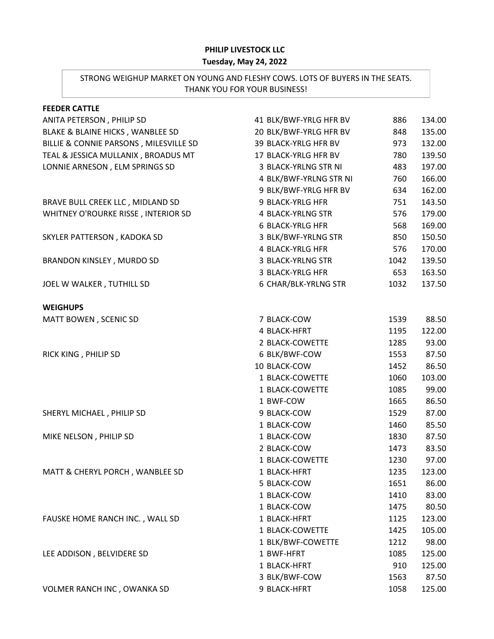## **PHILIP LIVESTOCK LLC**

## **Tuesday, May 24, 2022**

## STRONG WEIGHUP MARKET ON YOUNG AND FLESHY COWS. LOTS OF BUYERS IN THE SEATS. THANK YOU FOR YOUR BUSINESS!

| 41 BLK/BWF-YRLG HFR BV  | 886  | 134.00 |
|-------------------------|------|--------|
| 20 BLK/BWF-YRLG HFR BV  | 848  | 135.00 |
| 39 BLACK-YRLG HFR BV    | 973  | 132.00 |
| 17 BLACK-YRLG HFR BV    | 780  | 139.50 |
| 3 BLACK-YRLNG STR NI    | 483  | 197.00 |
| 4 BLK/BWF-YRLNG STR NI  | 760  | 166.00 |
| 9 BLK/BWF-YRLG HFR BV   | 634  | 162.00 |
| 9 BLACK-YRLG HFR        | 751  | 143.50 |
| 4 BLACK-YRLNG STR       | 576  | 179.00 |
| <b>6 BLACK-YRLG HFR</b> | 568  | 169.00 |
| 3 BLK/BWF-YRLNG STR     | 850  | 150.50 |
| 4 BLACK-YRLG HFR        | 576  | 170.00 |
| 3 BLACK-YRLNG STR       | 1042 | 139.50 |
| 3 BLACK-YRLG HFR        | 653  | 163.50 |
| 6 CHAR/BLK-YRLNG STR    | 1032 | 137.50 |
|                         |      |        |
| 7 BLACK-COW             | 1539 | 88.50  |
| 4 BLACK-HFRT            | 1195 | 122.00 |
| 2 BLACK-COWETTE         | 1285 | 93.00  |
| 6 BLK/BWF-COW           | 1553 | 87.50  |
| 10 BLACK-COW            | 1452 | 86.50  |
| 1 BLACK-COWETTE         | 1060 | 103.00 |
| 1 BLACK-COWETTE         | 1085 | 99.00  |
| 1 BWF-COW               | 1665 | 86.50  |
| 9 BLACK-COW             | 1529 | 87.00  |
| 1 BLACK-COW             | 1460 | 85.50  |
| 1 BLACK-COW             | 1830 | 87.50  |
| 2 BLACK-COW             | 1473 | 83.50  |
| 1 BLACK-COWETTE         | 1230 | 97.00  |
| 1 BLACK-HFRT            | 1235 | 123.00 |
| 5 BLACK-COW             | 1651 | 86.00  |
| 1 BLACK-COW             | 1410 | 83.00  |
| 1 BLACK-COW             | 1475 | 80.50  |
| 1 BLACK-HFRT            | 1125 | 123.00 |
| 1 BLACK-COWETTE         | 1425 | 105.00 |
| 1 BLK/BWF-COWETTE       | 1212 | 98.00  |
| 1 BWF-HFRT              | 1085 | 125.00 |
| 1 BLACK-HFRT            | 910  | 125.00 |
| 3 BLK/BWF-COW           | 1563 | 87.50  |
| 9 BLACK-HFRT            | 1058 | 125.00 |
|                         |      |        |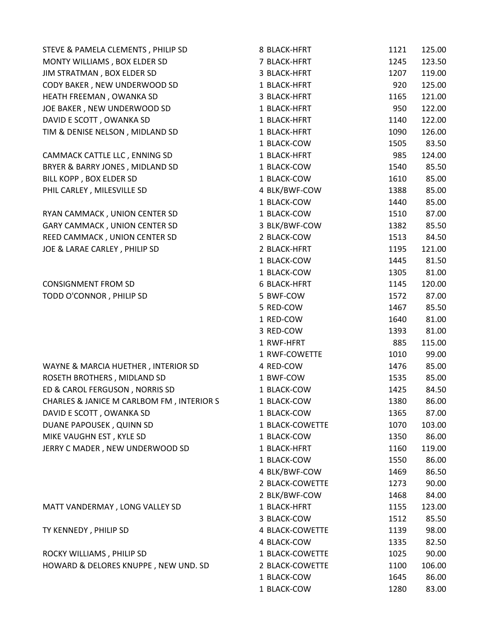| STEVE & PAMELA CLEMENTS, PHILIP SD        | 8 BLACK-HFRT        | 1121 | 125.00 |
|-------------------------------------------|---------------------|------|--------|
| MONTY WILLIAMS, BOX ELDER SD              | 7 BLACK-HFRT        | 1245 | 123.50 |
| JIM STRATMAN, BOX ELDER SD                | 3 BLACK-HFRT        | 1207 | 119.00 |
| CODY BAKER, NEW UNDERWOOD SD              | 1 BLACK-HFRT        | 920  | 125.00 |
| HEATH FREEMAN, OWANKA SD                  | 3 BLACK-HFRT        | 1165 | 121.00 |
| JOE BAKER, NEW UNDERWOOD SD               | 1 BLACK-HFRT        | 950  | 122.00 |
| DAVID E SCOTT, OWANKA SD                  | 1 BLACK-HFRT        | 1140 | 122.00 |
| TIM & DENISE NELSON, MIDLAND SD           | 1 BLACK-HFRT        | 1090 | 126.00 |
|                                           | 1 BLACK-COW         | 1505 | 83.50  |
| CAMMACK CATTLE LLC, ENNING SD             | 1 BLACK-HFRT        | 985  | 124.00 |
| BRYER & BARRY JONES, MIDLAND SD           | 1 BLACK-COW         | 1540 | 85.50  |
| BILL KOPP, BOX ELDER SD                   | 1 BLACK-COW         | 1610 | 85.00  |
| PHIL CARLEY, MILESVILLE SD                | 4 BLK/BWF-COW       | 1388 | 85.00  |
|                                           | 1 BLACK-COW         | 1440 | 85.00  |
| RYAN CAMMACK, UNION CENTER SD             | 1 BLACK-COW         | 1510 | 87.00  |
| GARY CAMMACK, UNION CENTER SD             | 3 BLK/BWF-COW       | 1382 | 85.50  |
| REED CAMMACK, UNION CENTER SD             | 2 BLACK-COW         | 1513 | 84.50  |
| JOE & LARAE CARLEY, PHILIP SD             | 2 BLACK-HFRT        | 1195 | 121.00 |
|                                           | 1 BLACK-COW         | 1445 | 81.50  |
|                                           | 1 BLACK-COW         | 1305 | 81.00  |
| <b>CONSIGNMENT FROM SD</b>                | <b>6 BLACK-HFRT</b> | 1145 | 120.00 |
| TODD O'CONNOR, PHILIP SD                  | 5 BWF-COW           | 1572 | 87.00  |
|                                           | 5 RED-COW           | 1467 | 85.50  |
|                                           | 1 RED-COW           | 1640 | 81.00  |
|                                           | 3 RED-COW           | 1393 | 81.00  |
|                                           | 1 RWF-HFRT          | 885  | 115.00 |
|                                           | 1 RWF-COWETTE       | 1010 | 99.00  |
| WAYNE & MARCIA HUETHER, INTERIOR SD       | 4 RED-COW           | 1476 | 85.00  |
| ROSETH BROTHERS, MIDLAND SD               | 1 BWF-COW           | 1535 | 85.00  |
| ED & CAROL FERGUSON, NORRIS SD            | 1 BLACK-COW         | 1425 | 84.50  |
| CHARLES & JANICE M CARLBOM FM, INTERIOR S | 1 BLACK-COW         | 1380 | 86.00  |
| DAVID E SCOTT, OWANKA SD                  | 1 BLACK-COW         |      | 87.00  |
|                                           |                     | 1365 |        |
| DUANE PAPOUSEK, QUINN SD                  | 1 BLACK-COWETTE     | 1070 | 103.00 |
| MIKE VAUGHN EST, KYLE SD                  | 1 BLACK-COW         | 1350 | 86.00  |
| JERRY C MADER, NEW UNDERWOOD SD           | 1 BLACK-HFRT        | 1160 | 119.00 |
|                                           | 1 BLACK-COW         | 1550 | 86.00  |
|                                           | 4 BLK/BWF-COW       | 1469 | 86.50  |
|                                           | 2 BLACK-COWETTE     | 1273 | 90.00  |
|                                           | 2 BLK/BWF-COW       | 1468 | 84.00  |
| MATT VANDERMAY, LONG VALLEY SD            | 1 BLACK-HFRT        | 1155 | 123.00 |
|                                           | 3 BLACK-COW         | 1512 | 85.50  |
| TY KENNEDY, PHILIP SD                     | 4 BLACK-COWETTE     | 1139 | 98.00  |
|                                           | 4 BLACK-COW         | 1335 | 82.50  |
| ROCKY WILLIAMS, PHILIP SD                 | 1 BLACK-COWETTE     | 1025 | 90.00  |
| HOWARD & DELORES KNUPPE, NEW UND. SD      | 2 BLACK-COWETTE     | 1100 | 106.00 |
|                                           | 1 BLACK-COW         | 1645 | 86.00  |
|                                           | 1 BLACK-COW         | 1280 | 83.00  |